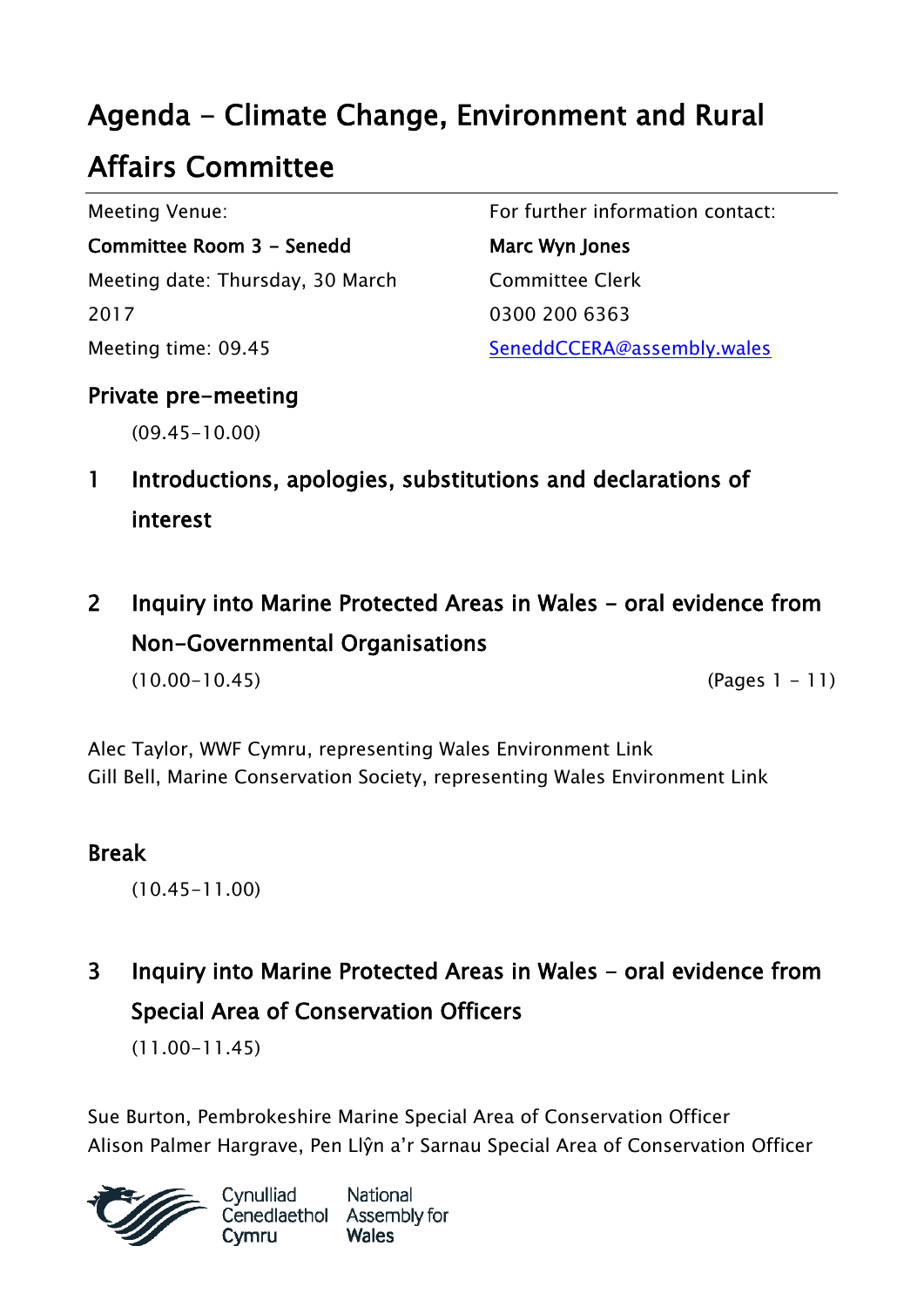# Agenda - Climate Change, Environment and Rural

### Affairs Committee

Meeting Venue:

Committee Room 3 - Senedd Meeting date: Thursday, 30 March 2017 Meeting time: 09.45

Private pre-meeting

For further information contact: Marc Wyn Jones Committee Clerk 0300 200 6363 SeneddCCERA@assembly.wales

(09.45-10.00)

- 1 Introductions, apologies, substitutions and declarations of interest
- 2 Inquiry into Marine Protected Areas in Wales oral evidence from Non-Governmental Organisations  $(10.00-10.45)$  (Pages 1 - 11)

Alec Taylor, WWF Cymru, representing Wales Environment Link Gill Bell, Marine Conservation Society, representing Wales Environment Link

### Break

(10.45-11.00)

3 Inquiry into Marine Protected Areas in Wales - oral evidence from Special Area of Conservation Officers

(11.00-11.45)

Sue Burton, Pembrokeshire Marine Special Area of Conservation Officer Alison Palmer Hargrave, Pen Llŷn a'r Sarnau Special Area of Conservation Officer